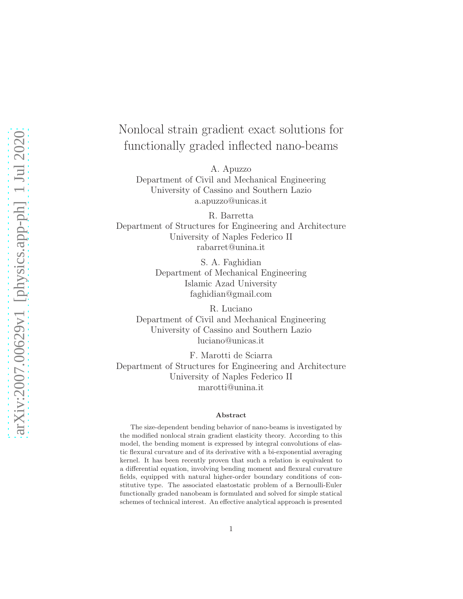# Nonlocal strain gradient exact solutions for functionally graded inflected nano-beams

A. Apuzzo

Department of Civil and Mechanical Engineering University of Cassino and Southern Lazio a.apuzzo@unicas.it

R. Barretta Department of Structures for Engineering and Architecture University of Naples Federico II rabarret@unina.it

> S. A. Faghidian Department of Mechanical Engineering Islamic Azad University faghidian@gmail.com

R. Luciano Department of Civil and Mechanical Engineering University of Cassino and Southern Lazio luciano@unicas.it

F. Marotti de Sciarra Department of Structures for Engineering and Architecture University of Naples Federico II marotti@unina.it

#### Abstract

The size-dependent bending behavior of nano-beams is investigated by the modified nonlocal strain gradient elasticity theory. According to this model, the bending moment is expressed by integral convolutions of elastic flexural curvature and of its derivative with a bi-exponential averaging kernel. It has been recently proven that such a relation is equivalent to a differential equation, involving bending moment and flexural curvature fields, equipped with natural higher-order boundary conditions of constitutive type. The associated elastostatic problem of a Bernoulli-Euler functionally graded nanobeam is formulated and solved for simple statical schemes of technical interest. An effective analytical approach is presented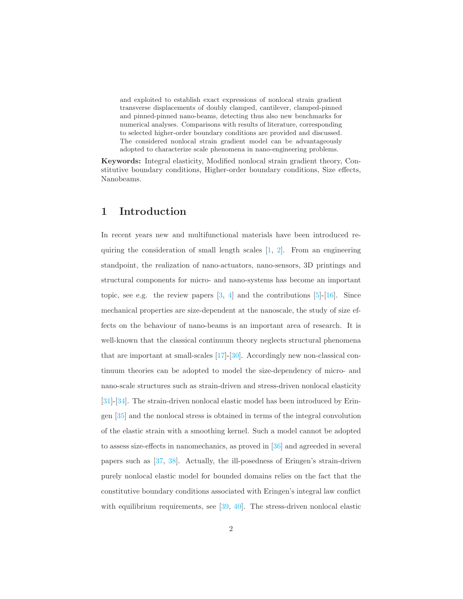and exploited to establish exact expressions of nonlocal strain gradient transverse displacements of doubly clamped, cantilever, clamped-pinned and pinned-pinned nano-beams, detecting thus also new benchmarks for numerical analyses. Comparisons with results of literature, corresponding to selected higher-order boundary conditions are provided and discussed. The considered nonlocal strain gradient model can be advantageously adopted to characterize scale phenomena in nano-engineering problems.

Keywords: Integral elasticity, Modified nonlocal strain gradient theory, Constitutive boundary conditions, Higher-order boundary conditions, Size effects, Nanobeams.

#### 1 Introduction

In recent years new and multifunctional materials have been introduced requiring the consideration of small length scales  $[1, 2]$  $[1, 2]$ . From an engineering standpoint, the realization of nano-actuators, nano-sensors, 3D printings and structural components for micro- and nano-systems has become an important topic, see e.g. the review papers  $[3, 4]$  $[3, 4]$  and the contributions  $[5]$ - $[16]$ . Since mechanical properties are size-dependent at the nanoscale, the study of size effects on the behaviour of nano-beams is an important area of research. It is well-known that the classical continuum theory neglects structural phenomena that are important at small-scales [\[17\]](#page-25-1)-[\[30\]](#page-26-0). Accordingly new non-classical continuum theories can be adopted to model the size-dependency of micro- and nano-scale structures such as strain-driven and stress-driven nonlocal elasticity [\[31\]](#page-26-1)-[\[34\]](#page-27-0). The strain-driven nonlocal elastic model has been introduced by Eringen [\[35\]](#page-27-1) and the nonlocal stress is obtained in terms of the integral convolution of the elastic strain with a smoothing kernel. Such a model cannot be adopted to assess size-effects in nanomechanics, as proved in [\[36\]](#page-27-2) and agreeded in several papers such as [\[37,](#page-27-3) [38\]](#page-27-4). Actually, the ill-posedness of Eringen's strain-driven purely nonlocal elastic model for bounded domains relies on the fact that the constitutive boundary conditions associated with Eringen's integral law conflict with equilibrium requirements, see [\[39,](#page-27-5) [40\]](#page-27-6). The stress-driven nonlocal elastic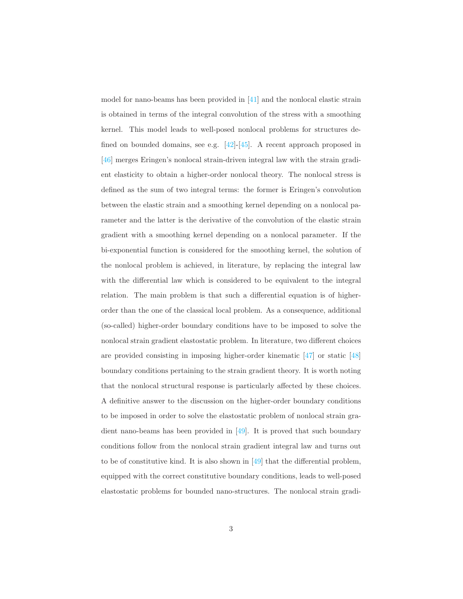model for nano-beams has been provided in [\[41\]](#page-27-7) and the nonlocal elastic strain is obtained in terms of the integral convolution of the stress with a smoothing kernel. This model leads to well-posed nonlocal problems for structures defined on bounded domains, see e.g. [\[42\]](#page-27-8)-[\[45\]](#page-28-0). A recent approach proposed in [\[46\]](#page-28-1) merges Eringen's nonlocal strain-driven integral law with the strain gradient elasticity to obtain a higher-order nonlocal theory. The nonlocal stress is defined as the sum of two integral terms: the former is Eringen's convolution between the elastic strain and a smoothing kernel depending on a nonlocal parameter and the latter is the derivative of the convolution of the elastic strain gradient with a smoothing kernel depending on a nonlocal parameter. If the bi-exponential function is considered for the smoothing kernel, the solution of the nonlocal problem is achieved, in literature, by replacing the integral law with the differential law which is considered to be equivalent to the integral relation. The main problem is that such a differential equation is of higherorder than the one of the classical local problem. As a consequence, additional (so-called) higher-order boundary conditions have to be imposed to solve the nonlocal strain gradient elastostatic problem. In literature, two different choices are provided consisting in imposing higher-order kinematic [\[47\]](#page-28-2) or static [\[48\]](#page-28-3) boundary conditions pertaining to the strain gradient theory. It is worth noting that the nonlocal structural response is particularly affected by these choices. A definitive answer to the discussion on the higher-order boundary conditions to be imposed in order to solve the elastostatic problem of nonlocal strain gradient nano-beams has been provided in [\[49\]](#page-28-4). It is proved that such boundary conditions follow from the nonlocal strain gradient integral law and turns out to be of constitutive kind. It is also shown in [\[49\]](#page-28-4) that the differential problem, equipped with the correct constitutive boundary conditions, leads to well-posed elastostatic problems for bounded nano-structures. The nonlocal strain gradi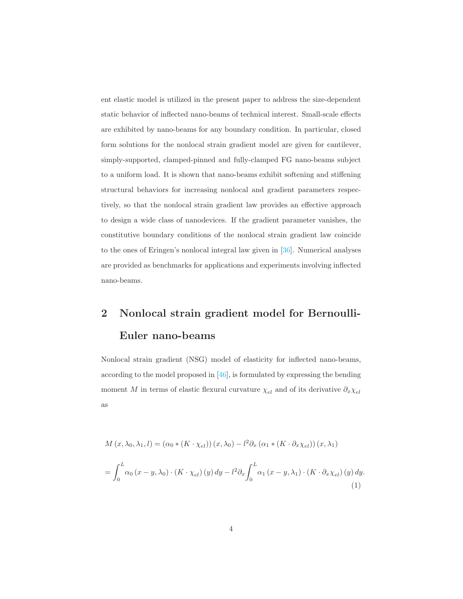ent elastic model is utilized in the present paper to address the size-dependent static behavior of inflected nano-beams of technical interest. Small-scale effects are exhibited by nano-beams for any boundary condition. In particular, closed form solutions for the nonlocal strain gradient model are given for cantilever, simply-supported, clamped-pinned and fully-clamped FG nano-beams subject to a uniform load. It is shown that nano-beams exhibit softening and stiffening structural behaviors for increasing nonlocal and gradient parameters respectively, so that the nonlocal strain gradient law provides an effective approach to design a wide class of nanodevices. If the gradient parameter vanishes, the constitutive boundary conditions of the nonlocal strain gradient law coincide to the ones of Eringen's nonlocal integral law given in [\[36\]](#page-27-2). Numerical analyses are provided as benchmarks for applications and experiments involving inflected nano-beams.

# 2 Nonlocal strain gradient model for Bernoulli-Euler nano-beams

Nonlocal strain gradient (NSG) model of elasticity for inflected nano-beams, according to the model proposed in [\[46\]](#page-28-1), is formulated by expressing the bending moment M in terms of elastic flexural curvature  $\chi_{el}$  and of its derivative  $\partial_x \chi_{el}$ as

<span id="page-3-0"></span>
$$
M(x, \lambda_0, \lambda_1, l) = (\alpha_0 * (K \cdot \chi_{el})) (x, \lambda_0) - l^2 \partial_x (\alpha_1 * (K \cdot \partial_x \chi_{el})) (x, \lambda_1)
$$
  
= 
$$
\int_0^L \alpha_0 (x - y, \lambda_0) \cdot (K \cdot \chi_{el}) (y) dy - l^2 \partial_x \int_0^L \alpha_1 (x - y, \lambda_1) \cdot (K \cdot \partial_x \chi_{el}) (y) dy.
$$
 (1)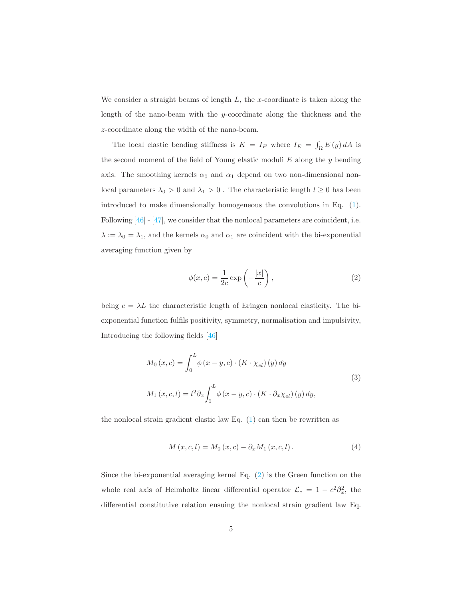We consider a straight beams of length  $L$ , the x-coordinate is taken along the length of the nano-beam with the y-coordinate along the thickness and the z-coordinate along the width of the nano-beam.

The local elastic bending stiffness is  $K = I_E$  where  $I_E = \int_{\Omega} E(y) dA$  is the second moment of the field of Young elastic moduli  $E$  along the  $y$  bending axis. The smoothing kernels  $\alpha_0$  and  $\alpha_1$  depend on two non-dimensional nonlocal parameters  $\lambda_0 > 0$  and  $\lambda_1 > 0$ . The characteristic length  $l \geq 0$  has been introduced to make dimensionally homogeneous the convolutions in Eq. [\(1\)](#page-3-0). Following [\[46\]](#page-28-1) - [\[47\]](#page-28-2), we consider that the nonlocal parameters are coincident, i.e.  $\lambda:=\lambda_0=\lambda_1,$  and the kernels  $\alpha_0$  and  $\alpha_1$  are coincident with the bi-exponential averaging function given by

<span id="page-4-0"></span>
$$
\phi(x,c) = \frac{1}{2c} \exp\left(-\frac{|x|}{c}\right),\tag{2}
$$

being  $c = \lambda L$  the characteristic length of Eringen nonlocal elasticity. The biexponential function fulfils positivity, symmetry, normalisation and impulsivity, Introducing the following fields [\[46\]](#page-28-1)

$$
M_0(x, c) = \int_0^L \phi(x - y, c) \cdot (K \cdot \chi_{el})(y) dy
$$
  

$$
M_1(x, c, l) = l^2 \partial_x \int_0^L \phi(x - y, c) \cdot (K \cdot \partial_x \chi_{el})(y) dy,
$$
 (3)

the nonlocal strain gradient elastic law Eq.  $(1)$  can then be rewritten as

<span id="page-4-1"></span>
$$
M(x, c, l) = M_0(x, c) - \partial_x M_1(x, c, l).
$$
 (4)

Since the bi-exponential averaging kernel Eq. [\(2\)](#page-4-0) is the Green function on the whole real axis of Helmholtz linear differential operator  $\mathcal{L}_c = 1 - c^2 \partial_x^2$ , the differential constitutive relation ensuing the nonlocal strain gradient law Eq.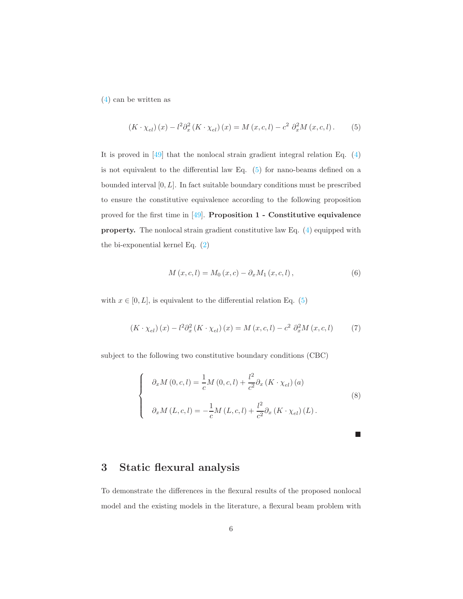[\(4\)](#page-4-1) can be written as

<span id="page-5-0"></span>
$$
(K \cdot \chi_{el})(x) - l^2 \partial_x^2 (K \cdot \chi_{el})(x) = M(x, c, l) - c^2 \partial_x^2 M(x, c, l).
$$
 (5)

It is proved in [\[49\]](#page-28-4) that the nonlocal strain gradient integral relation Eq. [\(4\)](#page-4-1) is not equivalent to the differential law Eq. [\(5\)](#page-5-0) for nano-beams defined on a bounded interval  $[0, L]$ . In fact suitable boundary conditions must be prescribed to ensure the constitutive equivalence according to the following proposition proved for the first time in  $[49]$ . Proposition 1 - Constitutive equivalence property. The nonlocal strain gradient constitutive law Eq. [\(4\)](#page-4-1) equipped with the bi-exponential kernel Eq. [\(2\)](#page-4-0)

$$
M(x, c, l) = M_0(x, c) - \partial_x M_1(x, c, l),
$$
\n(6)

with  $x \in [0, L]$ , is equivalent to the differential relation Eq. [\(5\)](#page-5-0)

<span id="page-5-1"></span>
$$
(K \cdot \chi_{el})(x) - l^2 \partial_x^2 (K \cdot \chi_{el})(x) = M(x, c, l) - c^2 \partial_x^2 M(x, c, l)
$$
 (7)

subject to the following two constitutive boundary conditions (CBC)

<span id="page-5-2"></span>
$$
\begin{cases}\n\partial_x M(0, c, l) = \frac{1}{c} M(0, c, l) + \frac{l^2}{c^2} \partial_x (K \cdot \chi_{el}) (a) \\
\partial_x M(L, c, l) = -\frac{1}{c} M(L, c, l) + \frac{l^2}{c^2} \partial_x (K \cdot \chi_{el}) (L).\n\end{cases}
$$
\n(8)

 $\blacksquare$ 

# 3 Static flexural analysis

To demonstrate the differences in the flexural results of the proposed nonlocal model and the existing models in the literature, a flexural beam problem with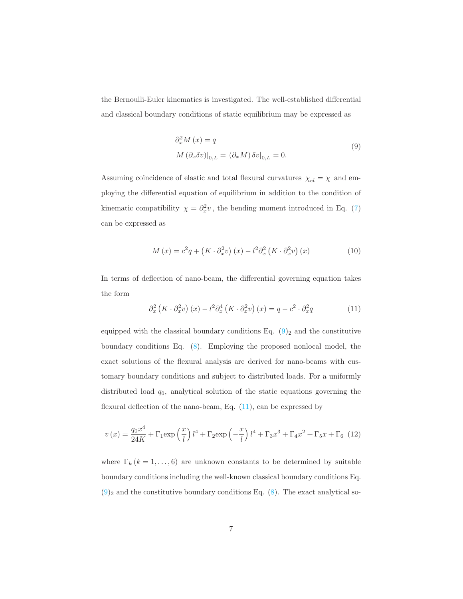the Bernoulli-Euler kinematics is investigated. The well-established differential and classical boundary conditions of static equilibrium may be expressed as

<span id="page-6-0"></span>
$$
\partial_x^2 M(x) = q
$$
  
\n
$$
M(\partial_x \delta v)|_{0,L} = (\partial_x M) \delta v|_{0,L} = 0.
$$
\n(9)

Assuming coincidence of elastic and total flexural curvatures  $\chi_{el} = \chi$  and employing the differential equation of equilibrium in addition to the condition of kinematic compatibility  $\chi = \partial_x^2 v$ , the bending moment introduced in Eq. [\(7\)](#page-5-1) can be expressed as

$$
M(x) = c^2 q + \left(K \cdot \partial_x^2 v\right)(x) - l^2 \partial_x^2 \left(K \cdot \partial_x^2 v\right)(x) \tag{10}
$$

In terms of deflection of nano-beam, the differential governing equation takes the form

<span id="page-6-1"></span>
$$
\partial_x^2 \left( K \cdot \partial_x^2 v \right) (x) - l^2 \partial_x^4 \left( K \cdot \partial_x^2 v \right) (x) = q - c^2 \cdot \partial_x^2 q \tag{11}
$$

equipped with the classical boundary conditions Eq.  $(9)_2$  and the constitutive boundary conditions Eq. [\(8\)](#page-5-2). Employing the proposed nonlocal model, the exact solutions of the flexural analysis are derived for nano-beams with customary boundary conditions and subject to distributed loads. For a uniformly distributed load  $q_0$ , analytical solution of the static equations governing the flexural deflection of the nano-beam, Eq.  $(11)$ , can be expressed by

<span id="page-6-2"></span>
$$
v(x) = \frac{q_0 x^4}{24K} + \Gamma_1 \exp\left(\frac{x}{l}\right) l^4 + \Gamma_2 \exp\left(-\frac{x}{l}\right) l^4 + \Gamma_3 x^3 + \Gamma_4 x^2 + \Gamma_5 x + \Gamma_6 \tag{12}
$$

where  $\Gamma_k$  ( $k = 1, ..., 6$ ) are unknown constants to be determined by suitable boundary conditions including the well-known classical boundary conditions Eq.  $(9)_2$  $(9)_2$  and the constitutive boundary conditions Eq. [\(8\)](#page-5-2). The exact analytical so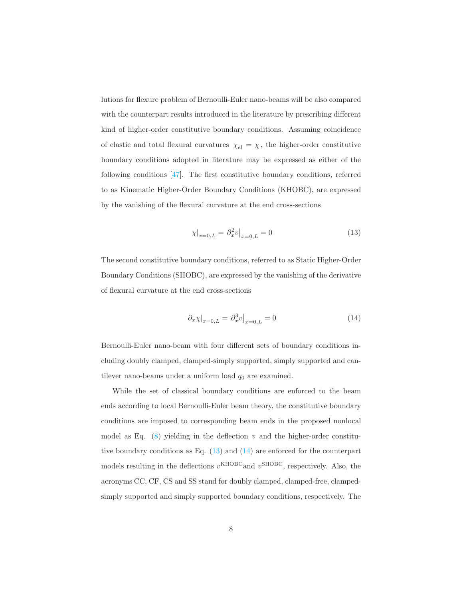lutions for flexure problem of Bernoulli-Euler nano-beams will be also compared with the counterpart results introduced in the literature by prescribing different kind of higher-order constitutive boundary conditions. Assuming coincidence of elastic and total flexural curvatures  $\chi_{el} = \chi$ , the higher-order constitutive boundary conditions adopted in literature may be expressed as either of the following conditions [\[47\]](#page-28-2). The first constitutive boundary conditions, referred to as Kinematic Higher-Order Boundary Conditions (KHOBC), are expressed by the vanishing of the flexural curvature at the end cross-sections

<span id="page-7-0"></span>
$$
\chi|_{x=0,L} = \partial_x^2 v|_{x=0,L} = 0 \tag{13}
$$

The second constitutive boundary conditions, referred to as Static Higher-Order Boundary Conditions (SHOBC), are expressed by the vanishing of the derivative of flexural curvature at the end cross-sections

<span id="page-7-1"></span>
$$
\partial_x \chi|_{x=0,L} = \partial_x^3 v|_{x=0,L} = 0 \tag{14}
$$

Bernoulli-Euler nano-beam with four different sets of boundary conditions including doubly clamped, clamped-simply supported, simply supported and cantilever nano-beams under a uniform load  $q_0$  are examined.

While the set of classical boundary conditions are enforced to the beam ends according to local Bernoulli-Euler beam theory, the constitutive boundary conditions are imposed to corresponding beam ends in the proposed nonlocal model as Eq.  $(8)$  yielding in the deflection v and the higher-order constitutive boundary conditions as Eq.  $(13)$  and  $(14)$  are enforced for the counterpart models resulting in the deflections  $v^{\text{KHOBC}}$  and  $v^{\text{SHOBC}}$ , respectively. Also, the acronyms CC, CF, CS and SS stand for doubly clamped, clamped-free, clampedsimply supported and simply supported boundary conditions, respectively. The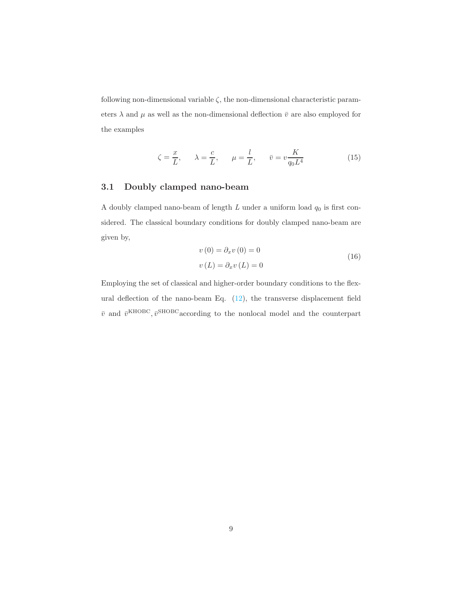following non-dimensional variable  $\zeta$ , the non-dimensional characteristic parameters  $\lambda$  and  $\mu$  as well as the non-dimensional deflection  $\bar{v}$  are also employed for the examples

$$
\zeta = \frac{x}{L}, \qquad \lambda = \frac{c}{L}, \qquad \mu = \frac{l}{L}, \qquad \bar{v} = v \frac{K}{q_0 L^4}
$$
 (15)

#### 3.1 Doubly clamped nano-beam

A doubly clamped nano-beam of length  $L$  under a uniform load  $q_0$  is first considered. The classical boundary conditions for doubly clamped nano-beam are given by,

$$
v(0) = \partial_x v(0) = 0
$$
  

$$
v(L) = \partial_x v(L) = 0
$$
 (16)

Employing the set of classical and higher-order boundary conditions to the flexural deflection of the nano-beam Eq. [\(12\)](#page-6-2), the transverse displacement field  $\bar{v}$  and  $\bar{v}^{\text{KHOBC}}$ ,  $\bar{v}^{\text{SHOBC}}$  according to the nonlocal model and the counterpart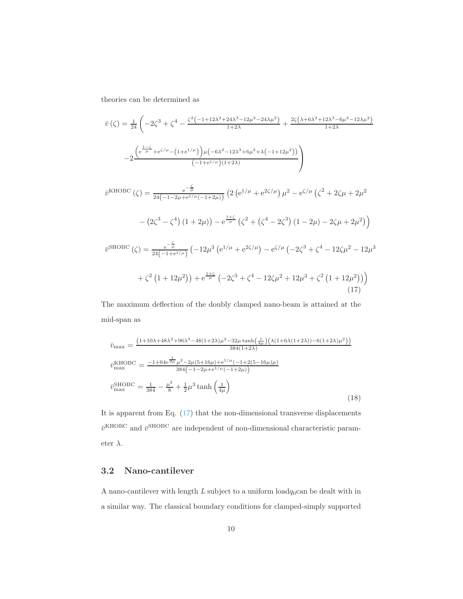theories can be determined as

$$
\bar{v}\left(\zeta\right) = \frac{1}{24} \left( -2\zeta^3 + \zeta^4 - \frac{\zeta^2 \left(-1 + 12\lambda^2 + 24\lambda^3 - 12\mu^2 - 24\lambda\mu^2\right)}{1 + 2\lambda} + \frac{2\zeta \left(\lambda + 6\lambda^2 + 12\lambda^3 - 6\mu^2 - 12\lambda\mu^2\right)}{1 + 2\lambda} \right)
$$

$$
-2 \frac{\left(e^{\frac{1-\zeta}{\mu}} + e^{\zeta/\mu} - \left(1 + e^{1/\mu}\right)\right)\mu \left(-6\lambda^2 - 12\lambda^3 + 6\mu^2 + \lambda \left(-1 + 12\mu^2\right)\right)}{\left(-1 + e^{1/\mu}\right)\left(1 + 2\lambda\right)}
$$

<span id="page-9-0"></span>
$$
\bar{v}^{\text{KHOBC}}(\zeta) = \frac{e^{-\frac{\zeta}{\mu}}}{24(-1-2\mu+e^{1/\mu}(-1+2\mu))} \left(2\left(e^{1/\mu}+e^{2\zeta/\mu}\right)\mu^2 - e^{\zeta/\mu}\left(\zeta^2+2\zeta\mu+2\mu^2\right)\right)
$$

$$
-\left(2\zeta^3-\zeta^4\right)\left(1+2\mu\right) - e^{\frac{1+\zeta}{\mu}}\left(\zeta^2+\left(\zeta^4-2\zeta^3\right)\left(1-2\mu\right)-2\zeta\mu+2\mu^2\right)\right)
$$

$$
\bar{v}^{\text{SHOBC}}(\zeta) = \frac{e^{-\frac{\zeta}{\mu}}}{24(-1+e^{1/\mu})}\left(-12\mu^3\left(e^{1/\mu}+e^{2\zeta/\mu}\right)-e^{\zeta/\mu}\left(-2\zeta^3+\zeta^4-12\zeta\mu^2-12\mu^3\right)\right)
$$

$$
+\zeta^2\left(1+12\mu^2\right)\right) + e^{\frac{1+\zeta}{\mu}}\left(-2\zeta^3+\zeta^4-12\zeta\mu^2+12\mu^3+\zeta^2\left(1+12\mu^2\right)\right)\right)
$$
(17)

The maximum deflection of the doubly clamped nano-beam is attained at the mid-span as

$$
\bar{v}_{\text{max}} = \frac{\left(1+10\lambda+48\lambda^2+96\lambda^3-48(1+2\lambda)\mu^2-32\mu\tanh\left(\frac{1}{4\mu}\right)\left(\lambda(1+6\lambda(1+2\lambda))-6(1+2\lambda)\mu^2\right)\right)}{384(1+2\lambda)}
$$
\n
$$
\bar{v}_{\text{max}}^{\text{KHOBC}} = \frac{-1+64e^{\frac{1}{2\mu}}\mu^2-2\mu(5+16\mu)+e^{1/\mu}(-1+2(5-16\mu)\mu)}{384\left(-1-2\mu+e^{1/\mu}(-1+2\mu)\right)}
$$
\n
$$
\bar{v}_{\text{max}}^{\text{SHOBC}} = \frac{1}{384} - \frac{\mu^2}{8} + \frac{1}{2}\mu^3 \tanh\left(\frac{1}{4\mu}\right)
$$
\n(18)

It is apparent from Eq. [\(17\)](#page-9-0) that the non-dimensional transverse displacements  $\bar{v}^{\text{KHOBC}}$  and  $\bar{v}^{\text{SHOBC}}$  are independent of non-dimensional characteristic parameter $\lambda.$ 

#### 3.2 Nano-cantilever

A nano-cantilever with length L subject to a uniform  $\text{load}_{q_0}$ can be dealt with in a similar way. The classical boundary conditions for clamped-simply supported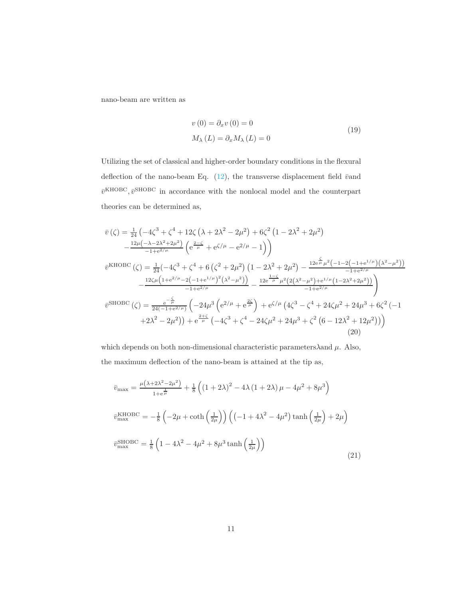nano-beam are written as

$$
v(0) = \partial_x v(0) = 0
$$
  

$$
M_{\lambda}(L) = \partial_x M_{\lambda}(L) = 0
$$
 (19)

Utilizing the set of classical and higher-order boundary conditions in the flexural deflection of the nano-beam Eq.  $(12)$ , the transverse displacement field  $\bar{v}$ and  $\bar{v}^{\text{KHOBC}}, \bar{v}^{\text{SHOBC}}$  in accordance with the nonlocal model and the counterpart theories can be determined as,

$$
\bar{v}(\zeta) = \frac{1}{24} \left( -4\zeta^3 + \zeta^4 + 12\zeta \left( \lambda + 2\lambda^2 - 2\mu^2 \right) + 6\zeta^2 \left( 1 - 2\lambda^2 + 2\mu^2 \right) \right.\n- \frac{12\mu(-\lambda - 2\lambda^2 + 2\mu^2)}{-1 + e^{2/\mu}} \left( e^{\frac{2-\zeta}{\mu}} + e^{\zeta/\mu} - e^{2/\mu} - 1 \right) \right)\n\bar{v}^{\text{KHOBC}}(\zeta) = \frac{1}{24} \left( -4\zeta^3 + \zeta^4 + 6\left(\zeta^2 + 2\mu^2\right) \left( 1 - 2\lambda^2 + 2\mu^2 \right) - \frac{12e^{\frac{\zeta}{\mu}}\mu^2 \left( -1 - 2\left(-1 + e^{1/\mu}\right)\left(\lambda^2 - \mu^2\right) \right)}{-1 + e^{2/\mu}} \right.\n- \frac{12\zeta\mu\left( 1 + e^{2/\mu} - 2\left(-1 + e^{1/\mu}\right)^2 \left(\lambda^2 - \mu^2\right) \right)}{-1 + e^{2/\mu}} - \frac{12e^{\frac{1-\zeta}{\mu}}\mu^2 \left( 2\left(\lambda^2 - \mu^2\right) + e^{1/\mu} \left(1 - 2\lambda^2 + 2\mu^2\right) \right)}{-1 + e^{2/\mu}} \right)\n\bar{v}^{\text{SHOBC}}(\zeta) = \frac{e^{-\frac{\zeta}{\mu}}}{24\left(-1 + e^{2/\mu}\right)} \left( -24\mu^3 \left( e^{2/\mu} + e^{\frac{2\zeta}{\mu}} \right) + e^{\zeta/\mu} \left( 4\zeta^3 - \zeta^4 + 24\zeta\mu^2 + 24\mu^3 + 6\zeta^2 \left( -1 \right) \right) \right)\n+ 2\lambda^2 - 2\mu^2) + e^{\frac{2+\zeta}{\mu}} \left( -4\zeta^3 + \zeta^4 - 24\zeta\mu^2 + 24\mu^3 + \zeta^2 \left( 6 - 12\lambda^2 + 12\mu^2 \right) \right)
$$
\n(20)

which depends on both non-dimensional characteristic parameters $\lambda$ and  $\mu$ . Also, the maximum deflection of the nano-beam is attained at the tip as,

$$
\bar{v}_{\text{max}} = \frac{\mu(\lambda + 2\lambda^2 - 2\mu^2)}{1 + e^{\frac{1}{\mu}}} + \frac{1}{8} \left( (1 + 2\lambda)^2 - 4\lambda (1 + 2\lambda) \mu - 4\mu^2 + 8\mu^3 \right)
$$
  
\n
$$
\bar{v}_{\text{max}}^{\text{KHOBC}} = -\frac{1}{8} \left( -2\mu + \coth\left(\frac{1}{2\mu}\right) \right) \left( \left( -1 + 4\lambda^2 - 4\mu^2 \right) \tanh\left(\frac{1}{2\mu}\right) + 2\mu \right)
$$
  
\n
$$
\bar{v}_{\text{max}}^{\text{SHOBC}} = \frac{1}{8} \left( 1 - 4\lambda^2 - 4\mu^2 + 8\mu^3 \tanh\left(\frac{1}{2\mu}\right) \right)
$$
\n(21)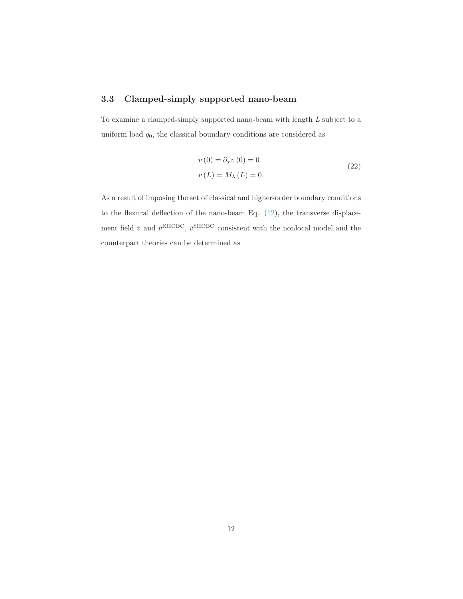#### 3.3 Clamped-simply supported nano-beam

To examine a clamped-simply supported nano-beam with length  $L$  subject to a uniform load  $q_0$ , the classical boundary conditions are considered as

$$
v(0) = \partial_x v(0) = 0
$$
  
\n
$$
v(L) = M_{\lambda}(L) = 0.
$$
\n(22)

As a result of imposing the set of classical and higher-order boundary conditions to the flexural deflection of the nano-beam Eq.  $(12)$ , the transverse displacement field  $\bar{v}$  and  $\bar{v}^{\text{KHOBC}}$ ,  $\bar{v}^{\text{SHOBC}}$  consistent with the nonlocal model and the counterpart theories can be determined as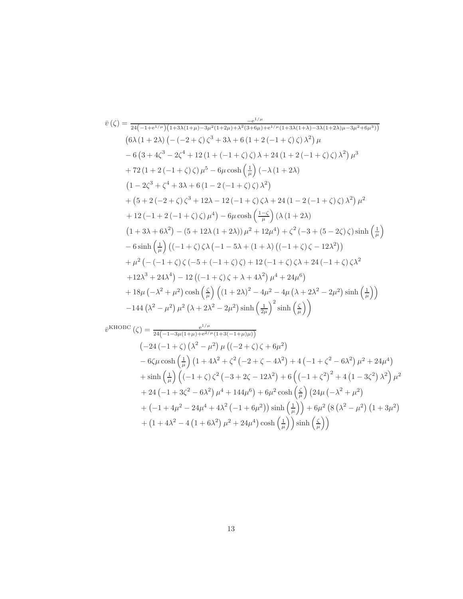$$
\bar{v}(\zeta) = \frac{e^{i\mu}}{24(-1+e^{i\mu})(1+3\lambda(1+\mu)-3\mu^2(1+2\mu)+\lambda^2(3+6\mu)+e^{i\mu}(1+3\lambda(1+\lambda)-3\lambda(1+2\lambda)\mu-3\mu^2+6\mu^3))}
$$
\n
$$
(6\lambda(1+2\lambda)\left(-(-2+\zeta)\zeta^3+3\lambda+6(1+2(-1+\zeta)\zeta)\lambda^2\right)\mu
$$
\n
$$
-6(3+4\zeta^3-2\zeta^4+12(1+(-1+\zeta)\zeta)\lambda+24(1+2(-1+\zeta)\zeta)\lambda^2)\mu^3
$$
\n
$$
+72(1+2(-1+\zeta)\zeta)\mu^5-6\mu\cosh\left(\frac{1}{\mu}\right)(-\lambda(1+2\lambda)
$$
\n
$$
(1-2\zeta^3+\zeta^4+3\lambda+6(1-2(-1+\zeta)\zeta)\lambda^2)
$$
\n
$$
+(5+2(-2+\zeta)\zeta^3+12\lambda-12(-1+\zeta)\zeta\lambda+24(1-2(-1+\zeta)\zeta)\lambda^2)\mu^2
$$
\n
$$
+12(-1+2(-1+\zeta)\zeta)\mu^4)-6\mu\cosh\left(\frac{1-\zeta}{\mu}\right)(\lambda(1+2\lambda)
$$
\n
$$
(1+3\lambda+6\lambda^2)-(5+12\lambda(1+2\lambda))\mu^2+12\mu^4)+\zeta^2(-3+(5-2\zeta)\zeta)\sinh\left(\frac{1}{\mu}\right)
$$
\n
$$
-6\sinh\left(\frac{1}{\mu}\right)((-1+\zeta)\zeta\lambda(-1-5\lambda+(1+\lambda)((-1+\zeta)\zeta-12\lambda^2))
$$
\n
$$
+\mu^2(-(-1+\zeta)\zeta(-5+(-1+\zeta)\zeta)+12(-1+\zeta)\zeta\lambda+24(-1+\zeta)\zeta\lambda^2
$$
\n
$$
+12\lambda^3+24\lambda^4)-12((-1+\zeta)\zeta+\lambda+4\lambda^2)\mu^4+24\mu^6)
$$
\n
$$
+18\mu(-\lambda^2+\mu^2)\cosh\left(\frac{\zeta}{\mu}\right)((1+2\lambda)^2
$$

$$
\bar{v}^{\text{KHOBC}}(\zeta) = \frac{e^{1/\mu}}{24(-1-3\mu(1+\mu)+e^{2/\mu}(1+3(-1+\mu)\mu))}
$$
\n
$$
(-24(-1+\zeta)(\lambda^2-\mu^2)\mu((-2+\zeta)\zeta+6\mu^2)
$$
\n
$$
-6\zeta\mu\cosh\left(\frac{1}{\mu}\right)(1+4\lambda^2+\zeta^2(-2+\zeta-4\lambda^2)+4(-1+\zeta^2-6\lambda^2)\mu^2+24\mu^4)
$$
\n
$$
+\sinh\left(\frac{1}{\mu}\right)\left((-1+\zeta)\zeta^2(-3+2\zeta-12\lambda^2)+6\left((-1+\zeta^2)^2+4(1-3\zeta^2)\lambda^2\right)\mu^2
$$
\n
$$
+24(-1+3\zeta^2-6\lambda^2)\mu^4+144\mu^6\right)+6\mu^2\cosh\left(\frac{\zeta}{\mu}\right)(24\mu(-\lambda^2+\mu^2)
$$
\n
$$
+(-1+4\mu^2-24\mu^4+4\lambda^2(-1+6\mu^2))\sinh\left(\frac{1}{\mu}\right)+6\mu^2\left(8(\lambda^2-\mu^2)(1+3\mu^2)\right)
$$
\n
$$
+(1+4\lambda^2-4(1+6\lambda^2)\mu^2+24\mu^4)\cosh\left(\frac{1}{\mu}\right)\sinh\left(\frac{\zeta}{\mu}\right)
$$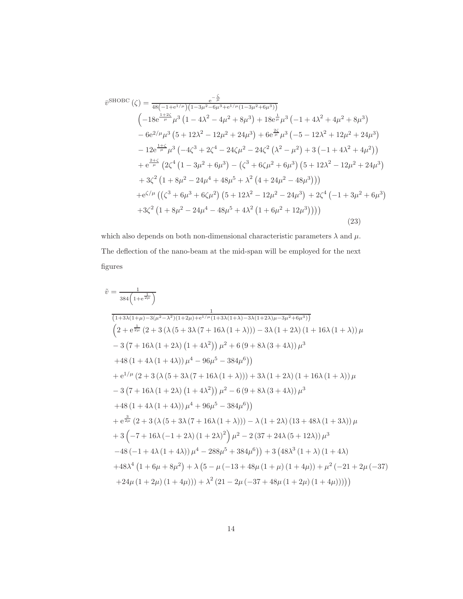$$
\bar{v}^{\text{SHOBC}}(\zeta) = \frac{e^{-\frac{\zeta}{\mu}}}{48(-1+e^{1/\mu})(1-3\mu^2-6\mu^3+e^{1/\mu}(1-3\mu^2+6\mu^3))}
$$
\n
$$
\left(-18e^{\frac{1+2\zeta}{\mu}}\mu^3(1-4\lambda^2-4\mu^2+8\mu^3)+18e^{\frac{1}{\mu}}\mu^3(-1+4\lambda^2+4\mu^2+8\mu^3)-6e^{2/\mu}\mu^3(5+12\lambda^2-12\mu^2+24\mu^3)+6e^{\frac{2\zeta}{\mu}}\mu^3(-5-12\lambda^2+12\mu^2+24\mu^3)-12e^{\frac{1+\zeta}{\mu}}\mu^3(-4\zeta^3+2\zeta^4-24\zeta\mu^2-24\zeta^2(\lambda^2-\mu^2)+3(-1+4\lambda^2+4\mu^2))\right\} + e^{\frac{2+\zeta}{\mu}}(2\zeta^4(1-3\mu^2+6\mu^3)-(\zeta^3+6\zeta\mu^2+6\mu^3)(5+12\lambda^2-12\mu^2+24\mu^3)+3\zeta^2(1+8\mu^2-24\mu^4+48\mu^5+\lambda^2(4+24\mu^2-48\mu^3)))\right\} + e^{\zeta/\mu}((\zeta^3+6\mu^3+6\zeta\mu^2)(5+12\lambda^2-12\mu^2-24\mu^3)+2\zeta^4(-1+3\mu^2+6\mu^3)+3\zeta^2(1+8\mu^2-24\mu^4-48\mu^5+4\lambda^2(1+6\mu^2+12\mu^3))))
$$
\n(23)

which also depends on both non-dimensional characteristic parameters  $\lambda$  and  $\mu.$ The deflection of the nano-beam at the mid-span will be employed for the next figures

$$
\tilde{v} = \frac{1}{384 \left(1+e^{\frac{1}{2\mu}}\right)}
$$
\n
$$
\frac{1}{(1+3\lambda(1+\mu)-3(\mu^2-\lambda^2)(1+2\mu)+e^{1/\mu}(1+3\lambda(1+\lambda)-3\lambda(1+2\lambda)\mu-3\mu^2+6\mu^3))}
$$
\n
$$
\left(2+e^{\frac{1}{2\mu}}\left(2+3\left(\lambda\left(5+3\lambda\left(7+16\lambda\left(1+\lambda\right)\right)\right)-3\lambda\left(1+2\lambda\right)\left(1+16\lambda\left(1+\lambda\right)\right)\mu\right)\right.\right.\left.\left.\left.-3\left(7+16\lambda\left(1+2\lambda\right)\left(1+4\lambda^2\right)\right)\mu^2+6\left(9+8\lambda\left(3+4\lambda\right)\right)\mu^3\right.\right.\right.\left.\left.\left.\left.+48\left(1+4\lambda\left(1+4\lambda\right)\right)\mu^4-96\mu^5-384\mu^6\right)\right)\right.\right.\left.\left.\left.\left.+e^{1/\mu}\left(2+3\left(\lambda\left(5+3\lambda\left(7+16\lambda\left(1+\lambda\right)\right)\right)+3\lambda\left(1+2\lambda\right)\left(1+16\lambda\left(1+\lambda\right)\right)\mu\right.\right.\right.\right.\left.\left.\left.\left.\left.-3\left(7+16\lambda\left(1+2\lambda\right)\left(1+4\lambda^2\right)\right)\mu^2-6\left(9+8\lambda\left(3+4\lambda\right)\right)\mu^3\right.\right.\right.\right.\left.\left.\left.\left.\left.\left.-48\left(1+4\lambda\left(1+4\lambda\right)\right)\mu^4+96\mu^5-384\mu^6\right)\right)\right.\right.\right.\left.\left.\left.\left.\left.-8\mu^3\mu^2\right(2+3\left(\lambda\left(5+3\lambda\left(7+16\lambda\left(1+\lambda\right)\right)\right)-\lambda\left(1+2\lambda\right)\left(13+48\lambda\left(1+3\lambda\right)\right)\mu\right.\right.\right.\right.\left.\left.\left.\left.\left.-48\left(-1+16\lambda\left(-1+2\lambda\right)\left(1+2\lambda\right)^2\right)\mu^2-2\left(37+2
$$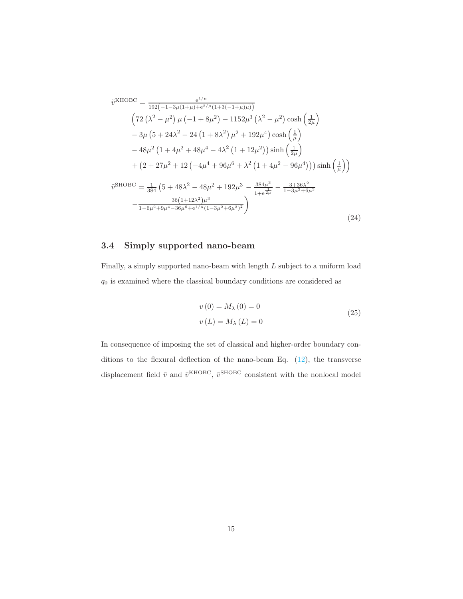$$
\tilde{v}^{\text{KHOBC}} = \frac{e^{1/\mu}}{192(-1-3\mu(1+\mu)+e^{2/\mu}(1+3(-1+\mu)\mu))}
$$
\n
$$
\left(72\left(\lambda^2 - \mu^2\right)\mu\left(-1 + 8\mu^2\right) - 1152\mu^3\left(\lambda^2 - \mu^2\right)\cosh\left(\frac{1}{2\mu}\right)\right.
$$
\n
$$
-3\mu\left(5 + 24\lambda^2 - 24\left(1 + 8\lambda^2\right)\mu^2 + 192\mu^4\right)\cosh\left(\frac{1}{\mu}\right)
$$
\n
$$
-48\mu^2\left(1 + 4\mu^2 + 48\mu^4 - 4\lambda^2\left(1 + 12\mu^2\right)\right)\sinh\left(\frac{1}{2\mu}\right)
$$
\n
$$
+ \left(2 + 27\mu^2 + 12\left(-4\mu^4 + 96\mu^6 + \lambda^2\left(1 + 4\mu^2 - 96\mu^4\right)\right)\right)\sinh\left(\frac{1}{\mu}\right)
$$
\n
$$
\tilde{v}^{\text{SHOBC}} = \frac{1}{384}\left(5 + 48\lambda^2 - 48\mu^2 + 192\mu^3 - \frac{384\mu^3}{1 + e^{2\mu}} - \frac{3 + 36\lambda^2}{1 - 3\mu^2 + 6\mu^3}
$$
\n
$$
- \frac{36(1 + 12\lambda^2)\mu^3}{1 - 6\mu^2 + 9\mu^4 - 36\mu^6 + e^{1/\mu}(1 - 3\mu^2 + 6\mu^3)^2}
$$
\n
$$
(24)
$$

#### 3.4 Simply supported nano-beam

Finally, a simply supported nano-beam with length L subject to a uniform load  $\mathfrak q_0$  is examined where the classical boundary conditions are considered as

$$
v(0) = M_{\lambda}(0) = 0
$$
  

$$
v(L) = M_{\lambda}(L) = 0
$$
 (25)

In consequence of imposing the set of classical and higher-order boundary conditions to the flexural deflection of the nano-beam Eq.  $(12)$ , the transverse displacement field  $\bar{v}$  and  $\bar{v}^{\text{KHOBC}}$ ,  $\bar{v}^{\text{SHOBC}}$  consistent with the nonlocal model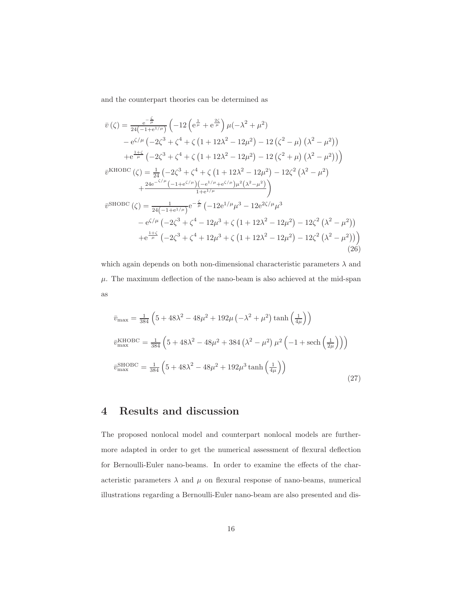and the counterpart theories can be determined as

$$
\bar{v}(\zeta) = \frac{e^{-\frac{\zeta}{\mu}}}{24(-1+e^{1/\mu})} \left( -12\left(e^{\frac{1}{\mu}} + e^{\frac{2\zeta}{\mu}}\right)\mu(-\lambda^2 + \mu^2) \right.\n- e^{\zeta/\mu} \left( -2\zeta^3 + \zeta^4 + \zeta \left(1 + 12\lambda^2 - 12\mu^2\right) - 12\left(\zeta^2 - \mu\right)\left(\lambda^2 - \mu^2\right)\right) \n+ e^{\frac{1+\zeta}{\mu}} \left( -2\zeta^3 + \zeta^4 + \zeta \left(1 + 12\lambda^2 - 12\mu^2\right) - 12\left(\zeta^2 + \mu\right)\left(\lambda^2 - \mu^2\right)\right) \n\bar{v}^{\text{KHOBC}}(\zeta) = \frac{1}{24} \left( -2\zeta^3 + \zeta^4 + \zeta \left(1 + 12\lambda^2 - 12\mu^2\right) - 12\zeta^2 \left(\lambda^2 - \mu^2\right) \right. \n+ \frac{24e^{-\zeta/\mu} \left( -1 + e^{\zeta/\mu} \right) \left( -e^{1/\mu} + e^{\zeta/\mu} \right) \mu^2 \left(\lambda^2 - \mu^2\right)}{1 + e^{1/\mu}} \n\bar{v}^{\text{SHOBC}}(\zeta) = \frac{1}{24\left( -1 + e^{1/\mu} \right)} e^{-\frac{\zeta}{\mu}} \left( -12e^{1/\mu}\mu^3 - 12e^{2\zeta/\mu}\mu^3 \right. \n- e^{\zeta/\mu} \left( -2\zeta^3 + \zeta^4 - 12\mu^3 + \zeta \left(1 + 12\lambda^2 - 12\mu^2\right) - 12\zeta^2 \left(\lambda^2 - \mu^2\right)\right) \n+ e^{\frac{1+\zeta}{\mu}} \left( -2\zeta^3 + \zeta^4 + 12\mu^3 + \zeta \left(1 + 12\lambda^2 - 12\mu^2\right) - 12\zeta^2 \left(\lambda^2 - \mu^2\right)\right) \tag{26}
$$

which again depends on both non-dimensional characteristic parameters  $\lambda$  and  $\mu$ . The maximum deflection of the nano-beam is also achieved at the mid-span as

$$
\bar{v}_{\text{max}} = \frac{1}{384} \left( 5 + 48\lambda^2 - 48\mu^2 + 192\mu \left( -\lambda^2 + \mu^2 \right) \tanh\left( \frac{1}{4\mu} \right) \right)
$$
  
\n
$$
\bar{v}_{\text{max}}^{\text{KHOBC}} = \frac{1}{384} \left( 5 + 48\lambda^2 - 48\mu^2 + 384 \left( \lambda^2 - \mu^2 \right) \mu^2 \left( -1 + \text{sech}\left( \frac{1}{2\mu} \right) \right) \right)
$$
  
\n
$$
\bar{v}_{\text{max}}^{\text{SHOBC}} = \frac{1}{384} \left( 5 + 48\lambda^2 - 48\mu^2 + 192\mu^3 \tanh\left( \frac{1}{4\mu} \right) \right)
$$
\n(27)

# 4 Results and discussion

The proposed nonlocal model and counterpart nonlocal models are furthermore adapted in order to get the numerical assessment of flexural deflection for Bernoulli-Euler nano-beams. In order to examine the effects of the characteristic parameters  $\lambda$  and  $\mu$  on flexural response of nano-beams, numerical illustrations regarding a Bernoulli-Euler nano-beam are also presented and dis-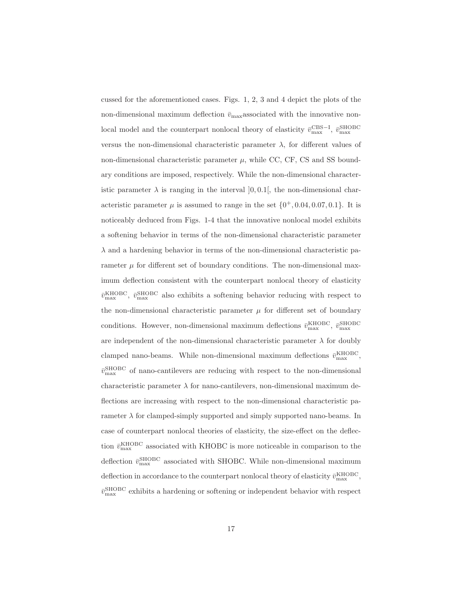cussed for the aforementioned cases. Figs. 1, 2, 3 and 4 depict the plots of the non-dimensional maximum deflection  $\bar{v}_{\text{max}}$ associated with the innovative nonlocal model and the counterpart nonlocal theory of elasticity  $\bar{v}_{\rm max}^{\rm CBS-I}$ ,  $\bar{v}_{\rm max}^{\rm SHOBC}$ versus the non-dimensional characteristic parameter  $\lambda$ , for different values of non-dimensional characteristic parameter  $\mu$ , while CC, CF, CS and SS boundary conditions are imposed, respectively. While the non-dimensional characteristic parameter  $\lambda$  is ranging in the interval [0, 0.1], the non-dimensional characteristic parameter  $\mu$  is assumed to range in the set  $\{0^+, 0.04, 0.07, 0.1\}$ . It is noticeably deduced from Figs. 1-4 that the innovative nonlocal model exhibits a softening behavior in terms of the non-dimensional characteristic parameter  $\lambda$  and a hardening behavior in terms of the non-dimensional characteristic parameter  $\mu$  for different set of boundary conditions. The non-dimensional maximum deflection consistent with the counterpart nonlocal theory of elasticity  $\bar{v}^{\text{KHOBC}}_{\text{max}}$ ,  $\bar{v}^{\text{SHOBC}}_{\text{max}}$  also exhibits a softening behavior reducing with respect to the non-dimensional characteristic parameter  $\mu$  for different set of boundary conditions. However, non-dimensional maximum deflections  $\bar{v}_{\text{max}}^{\text{KHOBC}}$ ,  $\bar{v}_{\text{max}}^{\text{SHOBC}}$ are independent of the non-dimensional characteristic parameter  $\lambda$  for doubly clamped nano-beams. While non-dimensional maximum deflections  $\bar{v}_{\text{max}}^{\text{KHOBC}}$ ,  $\bar{v}^{\rm SHOBC}_{\rm max}$  of nano-cantilevers are reducing with respect to the non-dimensional characteristic parameter  $\lambda$  for nano-cantilevers, non-dimensional maximum deflections are increasing with respect to the non-dimensional characteristic parameter  $\lambda$  for clamped-simply supported and simply supported nano-beams. In case of counterpart nonlocal theories of elasticity, the size-effect on the deflection  $\bar{v}_{\text{max}}^{\text{KHOBC}}$  associated with KHOBC is more noticeable in comparison to the deflection  $\bar{v}_{\text{max}}^{\text{SHOBC}}$  associated with SHOBC. While non-dimensional maximum deflection in accordance to the counterpart nonlocal theory of elasticity  $\bar{v}_{\rm max}^{\rm KHOBC}$ ,  $\bar{v}_{\rm max}^{\rm SHOBC}$  exhibits a hardening or softening or independent behavior with respect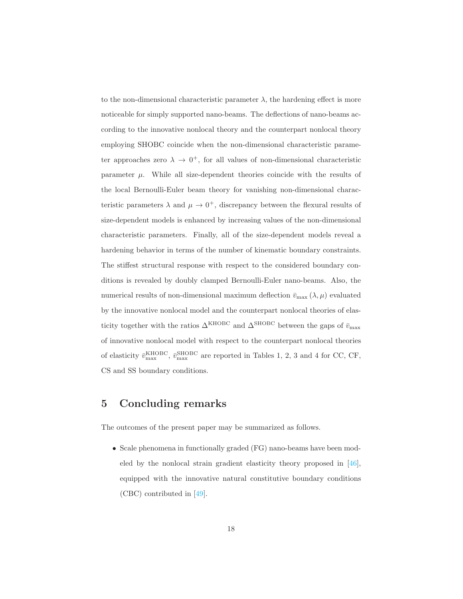to the non-dimensional characteristic parameter  $\lambda$ , the hardening effect is more noticeable for simply supported nano-beams. The deflections of nano-beams according to the innovative nonlocal theory and the counterpart nonlocal theory employing SHOBC coincide when the non-dimensional characteristic parameter approaches zero  $\lambda \to 0^+$ , for all values of non-dimensional characteristic parameter  $\mu$ . While all size-dependent theories coincide with the results of the local Bernoulli-Euler beam theory for vanishing non-dimensional characteristic parameters  $\lambda$  and  $\mu \to 0^+$ , discrepancy between the flexural results of size-dependent models is enhanced by increasing values of the non-dimensional characteristic parameters. Finally, all of the size-dependent models reveal a hardening behavior in terms of the number of kinematic boundary constraints. The stiffest structural response with respect to the considered boundary conditions is revealed by doubly clamped Bernoulli-Euler nano-beams. Also, the numerical results of non-dimensional maximum deflection  $\bar{v}_{\text{max}}(\lambda, \mu)$  evaluated by the innovative nonlocal model and the counterpart nonlocal theories of elasticity together with the ratios  $\Delta^{\rm KHOBC}$  and  $\Delta^{\rm SHOBC}$  between the gaps of  $\bar{v}_{\rm max}$ of innovative nonlocal model with respect to the counterpart nonlocal theories of elasticity  $\bar{v}_{\text{max}}^{\text{KHOBC}}$ ,  $\bar{v}_{\text{max}}^{\text{SHOBC}}$  are reported in Tables 1, 2, 3 and 4 for CC, CF, CS and SS boundary conditions.

### 5 Concluding remarks

The outcomes of the present paper may be summarized as follows.

• Scale phenomena in functionally graded (FG) nano-beams have been modeled by the nonlocal strain gradient elasticity theory proposed in [\[46\]](#page-28-1), equipped with the innovative natural constitutive boundary conditions (CBC) contributed in [\[49\]](#page-28-4).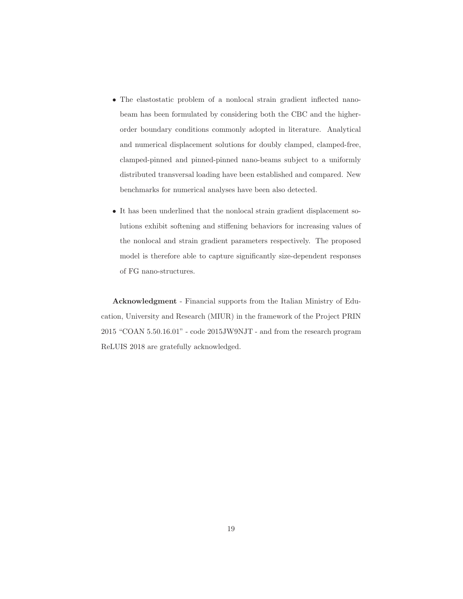- The elastostatic problem of a nonlocal strain gradient inflected nanobeam has been formulated by considering both the CBC and the higherorder boundary conditions commonly adopted in literature. Analytical and numerical displacement solutions for doubly clamped, clamped-free, clamped-pinned and pinned-pinned nano-beams subject to a uniformly distributed transversal loading have been established and compared. New benchmarks for numerical analyses have been also detected.
- It has been underlined that the nonlocal strain gradient displacement solutions exhibit softening and stiffening behaviors for increasing values of the nonlocal and strain gradient parameters respectively. The proposed model is therefore able to capture significantly size-dependent responses of FG nano-structures.

Acknowledgment - Financial supports from the Italian Ministry of Education, University and Research (MIUR) in the framework of the Project PRIN 2015 "COAN 5.50.16.01" - code 2015JW9NJT - and from the research program ReLUIS 2018 are gratefully acknowledged.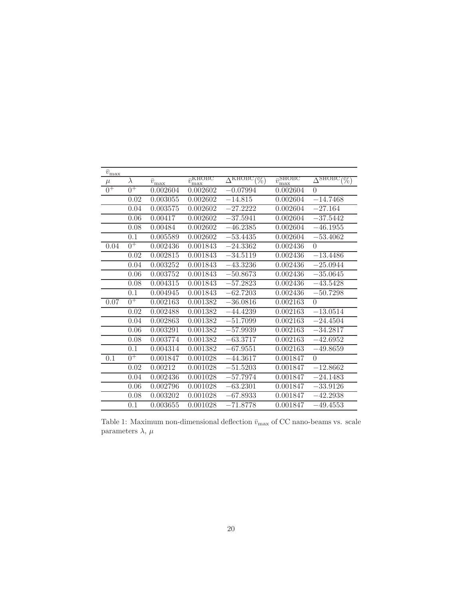| $\bar{v}_{\underline{\rm max}}$ |           |                     |                                 |                            |                                 |                                            |
|---------------------------------|-----------|---------------------|---------------------------------|----------------------------|---------------------------------|--------------------------------------------|
| $\mu$                           | $\lambda$ | $\bar{v}_{\rm max}$ | $\bar{v}_{\rm max}^{\rm KHOBC}$ | ДКНОВС<br>$\overline{\%})$ | $\bar{v}_{\rm max}^{\rm SHOBC}$ | $\overline{\Lambda}^{\rm SHOBC}$<br>$(\%)$ |
| $0^{\pm}$                       | $0^+$     | 0.002604            | 0.002602                        | $-0.07994$                 | 0.002604                        | $\theta$                                   |
|                                 | 0.02      | 0.003055            | 0.002602                        | $-14.815$                  | 0.002604                        | $-14.7468$                                 |
|                                 | 0.04      | 0.003575            | 0.002602                        | $-27.2222$                 | 0.002604                        | $-27.164$                                  |
|                                 | 0.06      | 0.00417             | 0.002602                        | $-37.5941$                 | 0.002604                        | $-37.5442$                                 |
|                                 | 0.08      | 0.00484             | 0.002602                        | $-46.2385$                 | 0.002604                        | $-46.1955$                                 |
|                                 | 0.1       | 0.005589            | 0.002602                        | $-53.4435$                 | 0.002604                        | $-53.4062$                                 |
| 0.04                            | $0^+$     | 0.002436            | 0.001843                        | $-24.3362$                 | 0.002436                        | $\theta$                                   |
|                                 | 0.02      | 0.002815            | 0.001843                        | $-34.5119$                 | 0.002436                        | $-13.4486$                                 |
|                                 | 0.04      | 0.003252            | 0.001843                        | $-43.3236$                 | 0.002436                        | $-25.0944$                                 |
|                                 | 0.06      | 0.003752            | 0.001843                        | $-50.8673$                 | 0.002436                        | $-35.0645$                                 |
|                                 | 0.08      | 0.004315            | $0.0018\overline{43}$           | $-57.2823$                 | 0.002436                        | $-43.5428$                                 |
|                                 | 0.1       | 0.004945            | 0.001843                        | $-62.7203$                 | 0.002436                        | $-50.7298$                                 |
| 0.07                            | $0^+$     | 0.002163            | 0.001382                        | $-36.0816$                 | 0.002163                        | $\theta$                                   |
|                                 | 0.02      | 0.002488            | 0.001382                        | $-44.4239$                 | 0.002163                        | $-13.0514$                                 |
|                                 | 0.04      | 0.002863            | 0.001382                        | $-51.7099$                 | 0.002163                        | $-24.4504$                                 |
|                                 | 0.06      | 0.003291            | 0.001382                        | $-57.9939$                 | 0.002163                        | $-34.2817$                                 |
|                                 | 0.08      | 0.003774            | 0.001382                        | $-63.3717$                 | 0.002163                        | $-42.6952$                                 |
|                                 | 0.1       | 0.004314            | 0.001382                        | $-67.9551$                 | 0.002163                        | $-49.8659$                                 |
| 0.1                             | $0^{\pm}$ | 0.001847            | 0.001028                        | $-44.3617$                 | 0.001847                        | $\Omega$                                   |
|                                 | 0.02      | 0.00212             | 0.001028                        | $-51.5203$                 | 0.001847                        | $-12.8662$                                 |
|                                 | 0.04      | 0.002436            | 0.001028                        | $-57.7974$                 | 0.001847                        | $-24.1483$                                 |
|                                 | 0.06      | 0.002796            | 0.001028                        | $-63.2301$                 | 0.001847                        | $-33.9126$                                 |
|                                 | 0.08      | 0.003202            | 0.001028                        | $-67.8933$                 | 0.001847                        | $-42.2938$                                 |
|                                 | 0.1       | 0.003655            | $0.00\overline{1028}$           | $-71.8778$                 | 0.001847                        | $-49.4553$                                 |

Table 1: Maximum non-dimensional deflection  $\bar{v}_{\rm max}$  of CC nano-beams vs. scale parameters  $\lambda,\,\mu$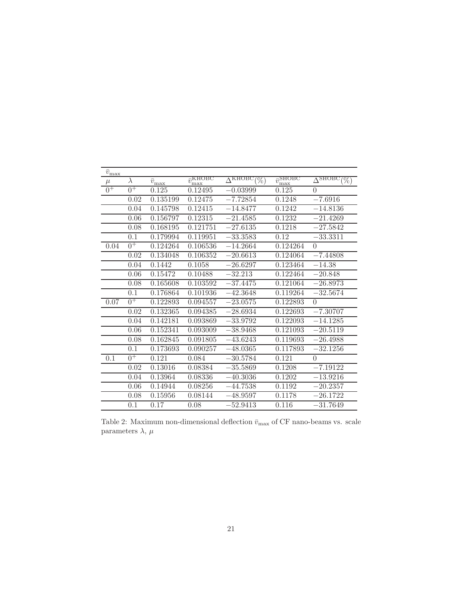| $\bar{v}_{\underline{\rm max}}$ |           |                                    |                                           |                                                |                                 |                                                     |
|---------------------------------|-----------|------------------------------------|-------------------------------------------|------------------------------------------------|---------------------------------|-----------------------------------------------------|
| $\mu$                           | $\lambda$ | $\bar{v}_{\underline{\text{max}}}$ | $\overline{v}_{r}^{\text{KHOBC}}$<br>'max | $\overline{\Lambda}$ KHOBC<br>$\overline{\%})$ | $\bar{v}_{\rm max}^{\rm SHOBC}$ | $\overline{\Delta}^{\rm SHOBC}$<br>$\overline{\%})$ |
| $0^{\overline{+}}$              | $0^+$     | 0.125                              | 0.12495                                   | $-0.03999$                                     | 0.125                           | $\theta$                                            |
|                                 | 0.02      | 0.135199                           | 0.12475                                   | $-7.72854$                                     | 0.1248                          | $-7.6916$                                           |
|                                 | 0.04      | 0.145798                           | 0.12415                                   | $-14.8477$                                     | 0.1242                          | $-14.8136$                                          |
|                                 | 0.06      | 0.156797                           | 0.12315                                   | $-21.4585$                                     | 0.1232                          | $-21.4269$                                          |
|                                 | 0.08      | 0.168195                           | $\overline{0.121751}$                     | $-27.6135$                                     | 0.1218                          | $-27.5842$                                          |
|                                 | 0.1       | 0.179994                           | 0.119951                                  | $-33.3583$                                     | 0.12                            | $-33.3311$                                          |
| 0.04                            | $0^+$     | 0.124264                           | 0.106536                                  | $-14.2664$                                     | 0.124264                        | $\Omega$                                            |
|                                 | 0.02      | 0.134048                           | 0.106352                                  | $-20.6613$                                     | 0.124064                        | $-7.44808$                                          |
|                                 | 0.04      | 0.1442                             | 0.1058                                    | $-26.6297$                                     | 0.123464                        | $-14.38$                                            |
|                                 | 0.06      | 0.15472                            | 0.10488                                   | $-32.213$                                      | 0.122464                        | $-20.848$                                           |
|                                 | 0.08      | 0.165608                           | 0.103592                                  | $-37.4475$                                     | 0.121064                        | $-26.8973$                                          |
|                                 | 0.1       | 0.176864                           | 0.101936                                  | $-42.3648$                                     | 0.119264                        | $-32.5674$                                          |
| 0.07                            | $0^+$     | 0.122893                           | 0.094557                                  | $-23.0575$                                     | 0.122893                        | $\Omega$                                            |
|                                 | 0.02      | $\overline{0.132365}$              | 0.094385                                  | $-28.6934$                                     | 0.122693                        | $-7.30707$                                          |
|                                 | 0.04      | 0.142181                           | 0.093869                                  | $-33.9792$                                     | 0.122093                        | $-14.1285$                                          |
|                                 | 0.06      | 0.152341                           | 0.093009                                  | $-38.9468$                                     | 0.121093                        | $-20.5119$                                          |
|                                 | 0.08      | 0.162845                           | 0.091805                                  | $-43.6243$                                     | 0.119693                        | $-26.4988$                                          |
|                                 | 0.1       | 0.173693                           | 0.090257                                  | $-48.0365$                                     | 0.117893                        | $-32.1256$                                          |
| 0.1                             | $0^{\pm}$ | 0.121                              | 0.084                                     | $-30.5784$                                     | 0.121                           | $\Omega$                                            |
|                                 | 0.02      | 0.13016                            | 0.08384                                   | $-35.5869$                                     | 0.1208                          | $-7.19122$                                          |
|                                 | 0.04      | 0.13964                            | 0.08336                                   | $-40.3036$                                     | 0.1202                          | $-13.9216$                                          |
|                                 | 0.06      | 0.14944                            | 0.08256                                   | $-44.7538$                                     | 0.1192                          | $-20.2357$                                          |
|                                 | 0.08      | 0.15956                            | 0.08144                                   | $-48.9597$                                     | 0.1178                          | $-26.1722$                                          |
|                                 | 0.1       | 0.17                               | 0.08                                      | $-52.9413$                                     | 0.116                           | $-31.7649$                                          |

Table 2: Maximum non-dimensional deflection  $\bar{v}_{\text{max}}$  of CF nano-beams vs. scale parameters  $\lambda,\,\mu$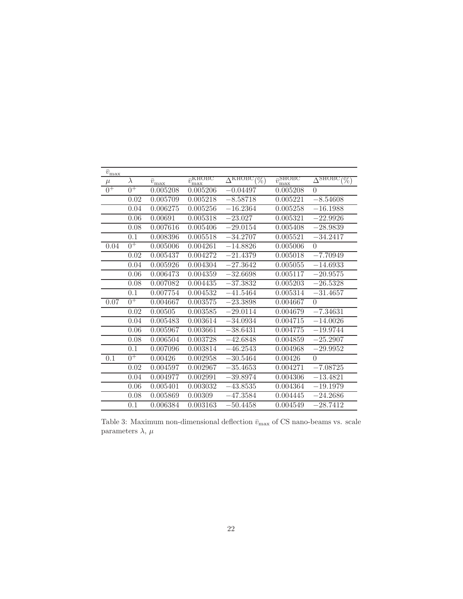| $\bar{v}_{\underline{\rm max}}$ |           |                        |                                 |                                                |                                 |                                                     |
|---------------------------------|-----------|------------------------|---------------------------------|------------------------------------------------|---------------------------------|-----------------------------------------------------|
| $\mu$                           | $\lambda$ | $\bar{v}_{\text{max}}$ | $\bar{v}_{\rm max}^{\rm KHOBC}$ | $\overline{\Lambda}$ KHOBC<br>$\overline{\%})$ | $\bar{v}_{\rm max}^{\rm SHOBC}$ | $\overline{\Delta}^{\rm SHOBC}$<br>$\overline{\%})$ |
| $0^{\overline{+}}$              | $0^+$     | 0.005208               | 0.005206                        | $-0.04497$                                     | 0.005208                        | $\theta$                                            |
|                                 | 0.02      | 0.005709               | 0.005218                        | $-8.58718$                                     | 0.005221                        | $-8.54608$                                          |
|                                 | 0.04      | 0.006275               | 0.005256                        | $-16.2364$                                     | 0.005258                        | $-16.1988$                                          |
|                                 | 0.06      | 0.00691                | 0.005318                        | $-23.027$                                      | 0.005321                        | $-22.9926$                                          |
|                                 | 0.08      | 0.007616               | 0.005406                        | $-29.0154$                                     | 0.005408                        | $-28.9839$                                          |
|                                 | 0.1       | 0.008396               | 0.005518                        | $-34.2707$                                     | 0.005521                        | $-34.2417$                                          |
| 0.04                            | $0^+$     | 0.005006               | 0.004261                        | $-14.8826$                                     | 0.005006                        | $\theta$                                            |
|                                 | 0.02      | 0.005437               | 0.004272                        | $-21.4379$                                     | 0.005018                        | $-7.70949$                                          |
|                                 | 0.04      | 0.005926               | 0.004304                        | $-27.3642$                                     | 0.005055                        | $-\overline{14.6933}$                               |
|                                 | 0.06      | 0.006473               | 0.004359                        | $-32.6698$                                     | 0.005117                        | $-20.9575$                                          |
|                                 | 0.08      | 0.007082               | 0.004435                        | $-37.3832$                                     | 0.005203                        | $-26.5328$                                          |
|                                 | 0.1       | 0.007754               | 0.004532                        | $-41.5464$                                     | 0.005314                        | $-31.4657$                                          |
| 0.07                            | $0^+$     | 0.004667               | 0.003575                        | $-23.3898$                                     | 0.004667                        | $\theta$                                            |
|                                 | 0.02      | 0.00505                | 0.003585                        | $-29.0114$                                     | 0.004679                        | $-7.34631$                                          |
|                                 | 0.04      | 0.005483               | 0.003614                        | $-34.0934$                                     | 0.004715                        | $-14.0026$                                          |
|                                 | 0.06      | 0.005967               | 0.003661                        | $-38.6431$                                     | 0.004775                        | $-19.9744$                                          |
|                                 | 0.08      | 0.006504               | 0.003728                        | $-42.6848$                                     | 0.004859                        | $-25.2907$                                          |
|                                 | 0.1       | 0.007096               | 0.003814                        | $-46.\overline{2543}$                          | 0.004968                        | $-29.9952$                                          |
| 0.1                             | $0^+$     | 0.00426                | 0.002958                        | $-30.5464$                                     | 0.00426                         | $\theta$                                            |
|                                 | 0.02      | 0.004597               | 0.002967                        | $-35.4653$                                     | 0.004271                        | $-7.08725$                                          |
|                                 | 0.04      | 0.004977               | 0.002991                        | $-39.8974$                                     | 0.004306                        | $-13.4821$                                          |
|                                 | 0.06      | 0.005401               | 0.003032                        | $-43.8535$                                     | 0.004364                        | $-19.1979$                                          |
|                                 | 0.08      | 0.005869               | 0.00309                         | $-47.3584$                                     | 0.004445                        | $-24.2686$                                          |
|                                 | 0.1       | 0.006384               | 0.003163                        | $-50.4458$                                     | 0.004549                        | $-28.7412$                                          |

Table 3: Maximum non-dimensional deflection  $\bar{v}_{\rm max}$  of CS nano-beams vs. scale parameters  $\lambda,\,\mu$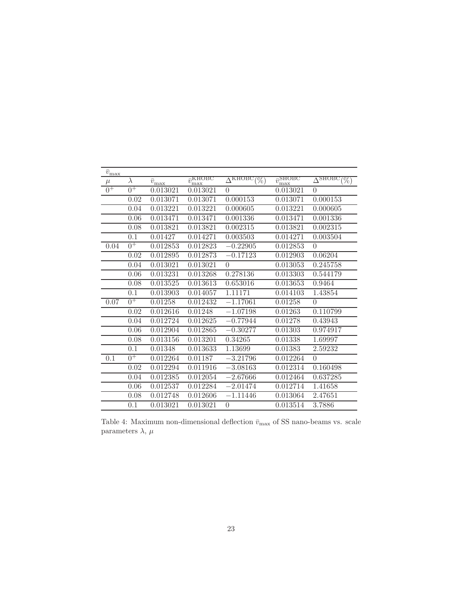| $\bar{v}_{\underline{\rm max}}$ |           |                        |                                 |                                           |                                 |                                           |
|---------------------------------|-----------|------------------------|---------------------------------|-------------------------------------------|---------------------------------|-------------------------------------------|
| $\mu$                           | $\lambda$ | $\bar{v}_{\text{max}}$ | $\bar{v}_{\rm max}^{\rm KHOBC}$ | $\overline{\Delta}^{\rm KHOBC}$<br>$(\%)$ | $\bar{v}_{\rm max}^{\rm SHOBC}$ | $\overline{\Delta}^{\rm SHOBC}$<br>$(\%)$ |
| $0^{\pm}$                       | $0^+$     | 0.013021               | 0.013021                        | $\theta$                                  | 0.013021                        | $\theta$                                  |
|                                 | 0.02      | 0.013071               | 0.013071                        | 0.000153                                  | 0.013071                        | 0.000153                                  |
|                                 | 0.04      | 0.013221               | 0.013221                        | 0.000605                                  | 0.013221                        | 0.000605                                  |
|                                 | 0.06      | 0.013471               | 0.013471                        | 0.001336                                  | 0.013471                        | 0.001336                                  |
|                                 | 0.08      | 0.013821               | 0.013821                        | 0.002315                                  | 0.013821                        | 0.002315                                  |
|                                 | 0.1       | 0.01427                | 0.014271                        | 0.003503                                  | 0.014271                        | 0.003504                                  |
| 0.04                            | $0^+$     | 0.012853               | 0.012823                        | $-0.22905$                                | 0.012853                        | $\theta$                                  |
|                                 | 0.02      | 0.012895               | 0.012873                        | $-0.17123$                                | 0.012903                        | 0.06204                                   |
|                                 | 0.04      | 0.013021               | 0.013021                        | $\Omega$                                  | 0.013053                        | 0.245758                                  |
|                                 | 0.06      | 0.013231               | 0.013268                        | 0.278136                                  | 0.013303                        | 0.544179                                  |
|                                 | 0.08      | 0.013525               | 0.013613                        | 0.653016                                  | 0.013653                        | 0.9464                                    |
|                                 | 0.1       | 0.013903               | 0.014057                        | 1.11171                                   | 0.014103                        | 1.43854                                   |
| 0.07                            | $0^+$     | 0.01258                | 0.012432                        | $-1.17061$                                | 0.01258                         | $\theta$                                  |
|                                 | 0.02      | 0.012616               | 0.01248                         | $-1.07198$                                | 0.01263                         | 0.110799                                  |
|                                 | 0.04      | 0.012724               | 0.012625                        | $-0.77944$                                | 0.01278                         | 0.43943                                   |
|                                 | 0.06      | 0.012904               | 0.012865                        | $-0.30277$                                | 0.01303                         | 0.974917                                  |
|                                 | 0.08      | 0.013156               | 0.013201                        | 0.34265                                   | 0.01338                         | 1.69997                                   |
|                                 | 0.1       | 0.01348                | 0.013633                        | 1.13699                                   | 0.01383                         | 2.59232                                   |
| 0.1                             | $0^{\pm}$ | 0.012264               | 0.01187                         | $-3.21796$                                | 0.012264                        | $\theta$                                  |
|                                 | 0.02      | 0.012294               | 0.011916                        | $-3.08163$                                | 0.012314                        | 0.160498                                  |
|                                 | 0.04      | 0.012385               | 0.012054                        | $-2.67666$                                | 0.012464                        | 0.637285                                  |
|                                 | 0.06      | 0.012537               | 0.012284                        | $-2.01474$                                | 0.012714                        | 1.41658                                   |
|                                 | 0.08      | 0.012748               | 0.012606                        | $-1.11446$                                | 0.013064                        | 2.47651                                   |
|                                 | 0.1       | 0.013021               | 0.013021                        | $\theta$                                  | 0.013514                        | 3.7886                                    |

Table 4: Maximum non-dimensional deflection  $\bar{v}_{\rm max}$  of SS nano-beams vs. scale parameters  $\lambda,\,\mu$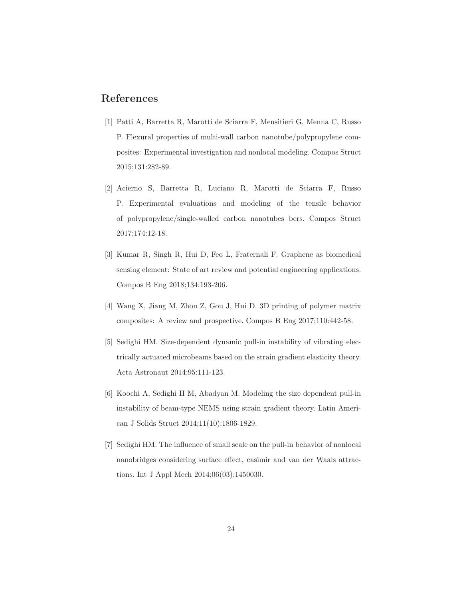### <span id="page-23-0"></span>References

- [1] Patti A, Barretta R, Marotti de Sciarra F, Mensitieri G, Menna C, Russo P. Flexural properties of multi-wall carbon nanotube/polypropylene composites: Experimental investigation and nonlocal modeling. Compos Struct 2015;131:282-89.
- <span id="page-23-1"></span>[2] Acierno S, Barretta R, Luciano R, Marotti de Sciarra F, Russo P. Experimental evaluations and modeling of the tensile behavior of polypropylene/single-walled carbon nanotubes bers. Compos Struct 2017;174:12-18.
- <span id="page-23-2"></span>[3] Kumar R, Singh R, Hui D, Feo L, Fraternali F. Graphene as biomedical sensing element: State of art review and potential engineering applications. Compos B Eng 2018;134:193-206.
- <span id="page-23-4"></span><span id="page-23-3"></span>[4] Wang X, Jiang M, Zhou Z, Gou J, Hui D. 3D printing of polymer matrix composites: A review and prospective. Compos B Eng 2017;110:442-58.
- [5] Sedighi HM. Size-dependent dynamic pull-in instability of vibrating electrically actuated microbeams based on the strain gradient elasticity theory. Acta Astronaut 2014;95:111-123.
- [6] Koochi A, Sedighi H M, Abadyan M. Modeling the size dependent pull-in instability of beam-type NEMS using strain gradient theory. Latin American J Solids Struct 2014;11(10):1806-1829.
- [7] Sedighi HM. The influence of small scale on the pull-in behavior of nonlocal nanobridges considering surface effect, casimir and van der Waals attractions. Int J Appl Mech 2014;06(03):1450030.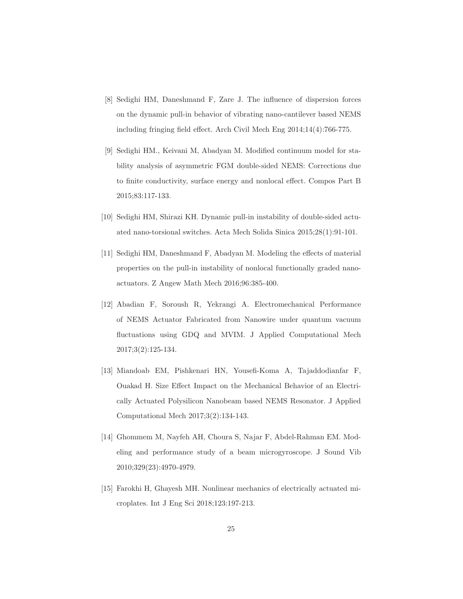- [8] Sedighi HM, Daneshmand F, Zare J. The influence of dispersion forces on the dynamic pull-in behavior of vibrating nano-cantilever based NEMS including fringing field effect. Arch Civil Mech Eng 2014;14(4):766-775.
- [9] Sedighi HM., Keivani M, Abadyan M. Modified continuum model for stability analysis of asymmetric FGM double-sided NEMS: Corrections due to finite conductivity, surface energy and nonlocal effect. Compos Part B 2015;83:117-133.
- [10] Sedighi HM, Shirazi KH. Dynamic pull-in instability of double-sided actuated nano-torsional switches. Acta Mech Solida Sinica 2015;28(1):91-101.
- [11] Sedighi HM, Daneshmand F, Abadyan M. Modeling the effects of material properties on the pull-in instability of nonlocal functionally graded nanoactuators. Z Angew Math Mech 2016;96:385-400.
- [12] Abadian F, Soroush R, Yekrangi A. Electromechanical Performance of NEMS Actuator Fabricated from Nanowire under quantum vacuum fluctuations using GDQ and MVIM. J Applied Computational Mech 2017;3(2):125-134.
- [13] Miandoab EM, Pishkenari HN, Yousefi-Koma A, Tajaddodianfar F, Ouakad H. Size Effect Impact on the Mechanical Behavior of an Electrically Actuated Polysilicon Nanobeam based NEMS Resonator. J Applied Computational Mech 2017;3(2):134-143.
- [14] Ghommem M, Nayfeh AH, Choura S, Najar F, Abdel-Rahman EM. Modeling and performance study of a beam microgyroscope. J Sound Vib 2010;329(23):4970-4979.
- [15] Farokhi H, Ghayesh MH. Nonlinear mechanics of electrically actuated microplates. Int J Eng Sci 2018;123:197-213.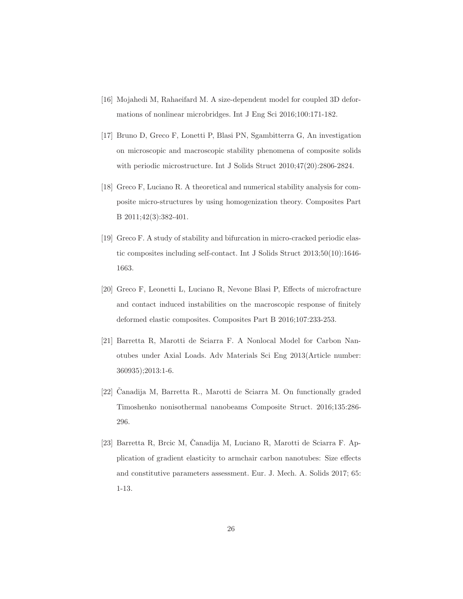- <span id="page-25-1"></span><span id="page-25-0"></span>[16] Mojahedi M, Rahaeifard M. A size-dependent model for coupled 3D deformations of nonlinear microbridges. Int J Eng Sci 2016;100:171-182.
- [17] Bruno D, Greco F, Lonetti P, Blasi PN, Sgambitterra G, An investigation on microscopic and macroscopic stability phenomena of composite solids with periodic microstructure. Int J Solids Struct 2010;47(20):2806-2824.
- [18] Greco F, Luciano R. A theoretical and numerical stability analysis for composite micro-structures by using homogenization theory. Composites Part B 2011;42(3):382-401.
- [19] Greco F. A study of stability and bifurcation in micro-cracked periodic elastic composites including self-contact. Int J Solids Struct 2013;50(10):1646- 1663.
- [20] Greco F, Leonetti L, Luciano R, Nevone Blasi P, Effects of microfracture and contact induced instabilities on the macroscopic response of finitely deformed elastic composites. Composites Part B 2016;107:233-253.
- [21] Barretta R, Marotti de Sciarra F. A Nonlocal Model for Carbon Nanotubes under Axial Loads. Adv Materials Sci Eng 2013(Article number: 360935);2013:1-6.
- $[22]$  Čanadija M, Barretta R., Marotti de Sciarra M. On functionally graded Timoshenko nonisothermal nanobeams Composite Struct. 2016;135:286- 296.
- [23] Barretta R, Brcic M, Canadija M, Luciano R, Marotti de Sciarra F. Application of gradient elasticity to armchair carbon nanotubes: Size effects and constitutive parameters assessment. Eur. J. Mech. A. Solids 2017; 65: 1-13.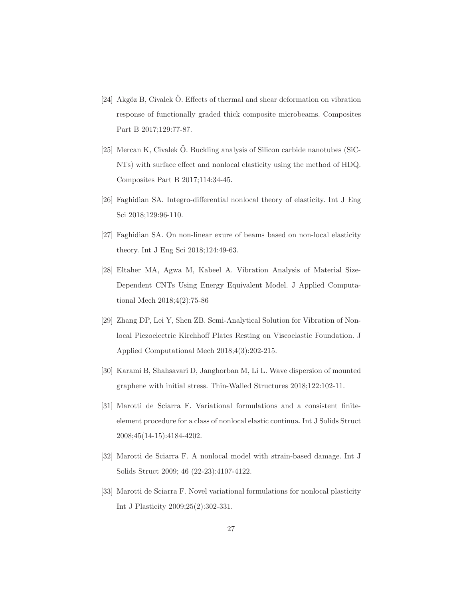- [24] Akgöz B, Civalek Ö. Effects of thermal and shear deformation on vibration response of functionally graded thick composite microbeams. Composites Part B 2017;129:77-87.
- [25] Mercan K, Civalek  $\ddot{\mathrm{O}}$ . Buckling analysis of Silicon carbide nanotubes (SiC-NTs) with surface effect and nonlocal elasticity using the method of HDQ. Composites Part B 2017;114:34-45.
- [26] Faghidian SA. Integro-differential nonlocal theory of elasticity. Int J Eng Sci 2018;129:96-110.
- [27] Faghidian SA. On non-linear exure of beams based on non-local elasticity theory. Int J Eng Sci 2018;124:49-63.
- [28] Eltaher MA, Agwa M, Kabeel A. Vibration Analysis of Material Size-Dependent CNTs Using Energy Equivalent Model. J Applied Computational Mech 2018;4(2):75-86
- [29] Zhang DP, Lei Y, Shen ZB. Semi-Analytical Solution for Vibration of Nonlocal Piezoelectric Kirchhoff Plates Resting on Viscoelastic Foundation. J Applied Computational Mech 2018;4(3):202-215.
- <span id="page-26-1"></span><span id="page-26-0"></span>[30] Karami B, Shahsavari D, Janghorban M, Li L. Wave dispersion of mounted graphene with initial stress. Thin-Walled Structures 2018;122:102-11.
- [31] Marotti de Sciarra F. Variational formulations and a consistent finiteelement procedure for a class of nonlocal elastic continua. Int J Solids Struct 2008;45(14-15):4184-4202.
- [32] Marotti de Sciarra F. A nonlocal model with strain-based damage. Int J Solids Struct 2009; 46 (22-23):4107-4122.
- [33] Marotti de Sciarra F. Novel variational formulations for nonlocal plasticity Int J Plasticity 2009;25(2):302-331.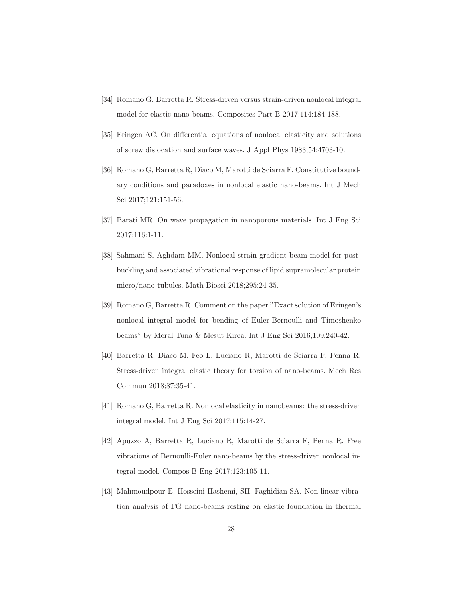- <span id="page-27-1"></span><span id="page-27-0"></span>[34] Romano G, Barretta R. Stress-driven versus strain-driven nonlocal integral model for elastic nano-beams. Composites Part B 2017;114:184-188.
- <span id="page-27-2"></span>[35] Eringen AC. On differential equations of nonlocal elasticity and solutions of screw dislocation and surface waves. J Appl Phys 1983;54:4703-10.
- [36] Romano G, Barretta R, Diaco M, Marotti de Sciarra F. Constitutive boundary conditions and paradoxes in nonlocal elastic nano-beams. Int J Mech Sci 2017;121:151-56.
- <span id="page-27-4"></span><span id="page-27-3"></span>[37] Barati MR. On wave propagation in nanoporous materials. Int J Eng Sci 2017;116:1-11.
- [38] Sahmani S, Aghdam MM. Nonlocal strain gradient beam model for postbuckling and associated vibrational response of lipid supramolecular protein micro/nano-tubules. Math Biosci 2018;295:24-35.
- <span id="page-27-5"></span>[39] Romano G, Barretta R. Comment on the paper "Exact solution of Eringen's nonlocal integral model for bending of Euler-Bernoulli and Timoshenko beams" by Meral Tuna & Mesut Kirca. Int J Eng Sci 2016;109:240-42.
- <span id="page-27-6"></span>[40] Barretta R, Diaco M, Feo L, Luciano R, Marotti de Sciarra F, Penna R. Stress-driven integral elastic theory for torsion of nano-beams. Mech Res Commun 2018;87:35-41.
- <span id="page-27-8"></span><span id="page-27-7"></span>[41] Romano G, Barretta R. Nonlocal elasticity in nanobeams: the stress-driven integral model. Int J Eng Sci 2017;115:14-27.
- [42] Apuzzo A, Barretta R, Luciano R, Marotti de Sciarra F, Penna R. Free vibrations of Bernoulli-Euler nano-beams by the stress-driven nonlocal integral model. Compos B Eng 2017;123:105-11.
- [43] Mahmoudpour E, Hosseini-Hashemi, SH, Faghidian SA. Non-linear vibration analysis of FG nano-beams resting on elastic foundation in thermal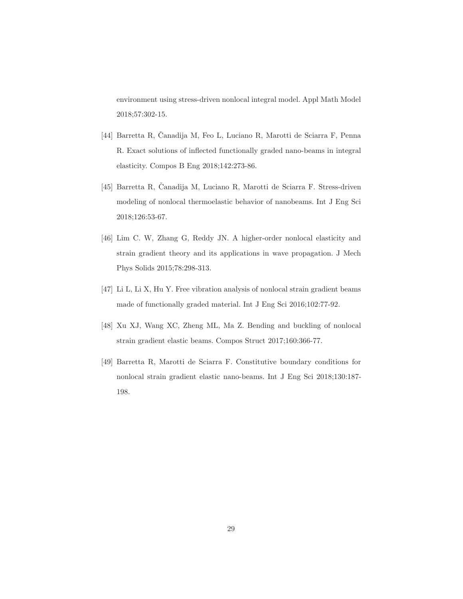environment using stress-driven nonlocal integral model. Appl Math Model 2018;57:302-15.

- [44] Barretta R, Čanadija M, Feo L, Luciano R, Marotti de Sciarra F, Penna R. Exact solutions of inflected functionally graded nano-beams in integral elasticity. Compos B Eng 2018;142:273-86.
- <span id="page-28-0"></span>[45] Barretta R, Čanadija M, Luciano R, Marotti de Sciarra F. Stress-driven modeling of nonlocal thermoelastic behavior of nanobeams. Int J Eng Sci 2018;126:53-67.
- <span id="page-28-1"></span>[46] Lim C. W, Zhang G, Reddy JN. A higher-order nonlocal elasticity and strain gradient theory and its applications in wave propagation. J Mech Phys Solids 2015;78:298-313.
- <span id="page-28-3"></span><span id="page-28-2"></span>[47] Li L, Li X, Hu Y. Free vibration analysis of nonlocal strain gradient beams made of functionally graded material. Int J Eng Sci 2016;102:77-92.
- <span id="page-28-4"></span>[48] Xu XJ, Wang XC, Zheng ML, Ma Z. Bending and buckling of nonlocal strain gradient elastic beams. Compos Struct 2017;160:366-77.
- [49] Barretta R, Marotti de Sciarra F. Constitutive boundary conditions for nonlocal strain gradient elastic nano-beams. Int J Eng Sci 2018;130:187- 198.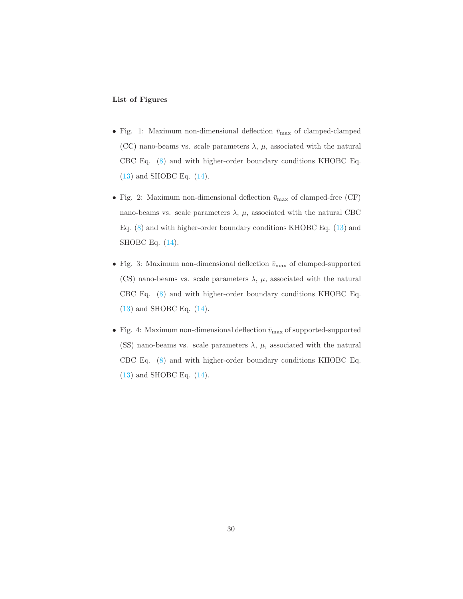#### List of Figures

- Fig. 1: Maximum non-dimensional deflection  $\bar{v}_{\text{max}}$  of clamped-clamped (CC) nano-beams vs. scale parameters  $\lambda$ ,  $\mu$ , associated with the natural CBC Eq. [\(8\)](#page-5-2) and with higher-order boundary conditions KHOBC Eq. [\(13\)](#page-7-0) and SHOBC Eq. [\(14\)](#page-7-1).
- $\bullet$  Fig. 2: Maximum non-dimensional deflection  $\bar{v}_{\rm max}$  of clamped-free (CF) nano-beams vs. scale parameters  $\lambda$ ,  $\mu$ , associated with the natural CBC Eq. [\(8\)](#page-5-2) and with higher-order boundary conditions KHOBC Eq. [\(13\)](#page-7-0) and SHOBC Eq. [\(14\)](#page-7-1).
- Fig. 3: Maximum non-dimensional deflection  $\bar{v}_{\text{max}}$  of clamped-supported (CS) nano-beams vs. scale parameters  $\lambda$ ,  $\mu$ , associated with the natural CBC Eq. [\(8\)](#page-5-2) and with higher-order boundary conditions KHOBC Eq. [\(13\)](#page-7-0) and SHOBC Eq. [\(14\)](#page-7-1).
- Fig. 4: Maximum non-dimensional deflection  $\bar{v}_{\text{max}}$  of supported-supported (SS) nano-beams vs. scale parameters  $\lambda$ ,  $\mu$ , associated with the natural CBC Eq. [\(8\)](#page-5-2) and with higher-order boundary conditions KHOBC Eq. [\(13\)](#page-7-0) and SHOBC Eq. [\(14\)](#page-7-1).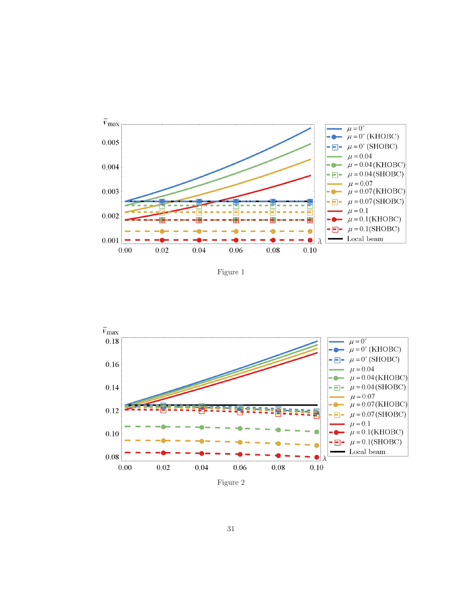

Figure 1



31